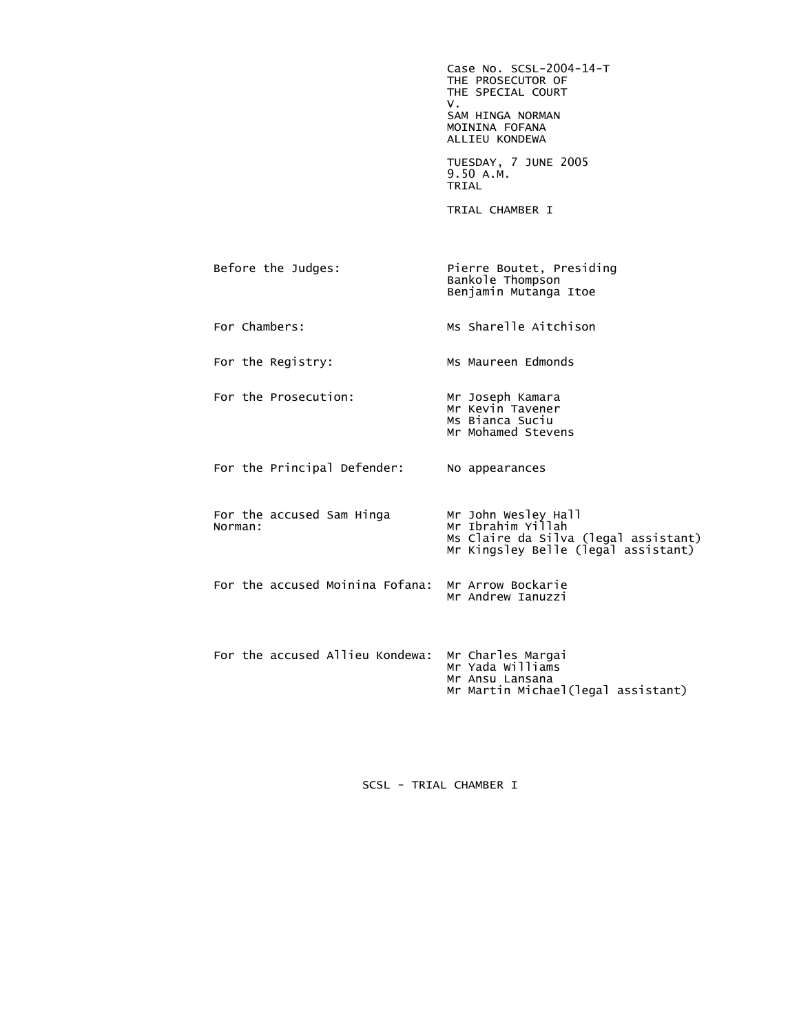Case No. SCSL-2004-14-T THE PROSECUTOR OF THE SPECIAL COURT<br>V. V. SAM HINGA NORMAN MOININA FOFANA ALLIEU KONDEWA TUESDAY, 7 JUNE 2005 9.50 A.M.<br>TRIAL **TRIAL**  TRIAL CHAMBER I Before the Judges: Pierre Boutet, Presiding Bankole Thompson Benjamin Mutanga Itoe For Chambers: Ms Sharelle Aitchison For the Registry: Ms Maureen Edmonds For the Prosecution: Mr Joseph Kamara Mr Kevin Tavener Ms Bianca Suciu Mr Mohamed Stevens For the Principal Defender: No appearances For the accused Sam Hinga<br>Norman: Mr John Wesley Hall<br>Mr Ibrahim Yillah Ms Claire da Silva (legal assistant) Mr Kingsley Belle (legal assistant) For the accused Moinina Fofana: Mr Arrow Bockarie Mr Andrew Ianuzzi For the accused Allieu Kondewa: Mr Charles Margai<br>Mr Yada Williams Mr Ansu Lansana Mr Martin Michael(legal assistant)

SCSL - TRIAL CHAMBER I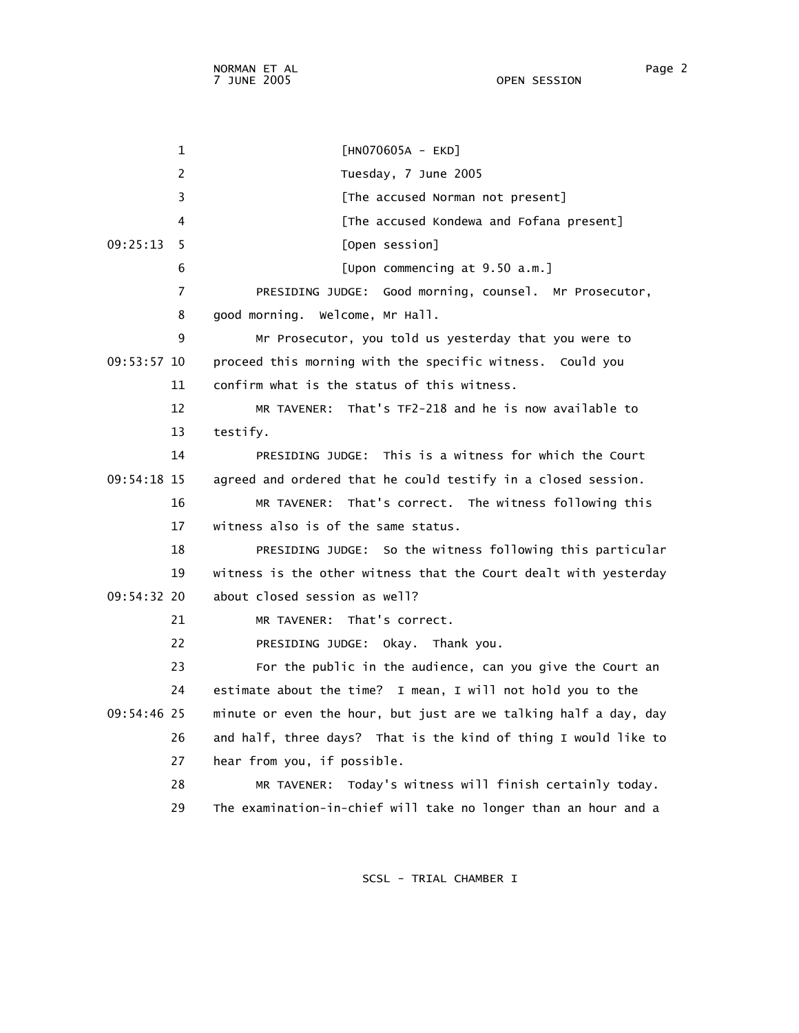1 [HN070605A - EKD] 2 Tuesday, 7 June 2005 3 **Example 2 [The accused Norman not present]**  4 [The accused Kondewa and Fofana present] 09:25:13 5 [Open session] 6 [Upon commencing at 9.50 a.m.] 7 PRESIDING JUDGE: Good morning, counsel. Mr Prosecutor, 8 good morning. Welcome, Mr Hall. 9 Mr Prosecutor, you told us yesterday that you were to 09:53:57 10 proceed this morning with the specific witness. Could you 11 confirm what is the status of this witness. 12 MR TAVENER: That's TF2-218 and he is now available to 13 testify. 14 PRESIDING JUDGE: This is a witness for which the Court 09:54:18 15 agreed and ordered that he could testify in a closed session. 16 MR TAVENER: That's correct. The witness following this 17 witness also is of the same status. 18 PRESIDING JUDGE: So the witness following this particular 19 witness is the other witness that the Court dealt with yesterday 09:54:32 20 about closed session as well? 21 MR TAVENER: That's correct. 22 PRESIDING JUDGE: Okay. Thank you. 23 For the public in the audience, can you give the Court an 24 estimate about the time? I mean, I will not hold you to the 09:54:46 25 minute or even the hour, but just are we talking half a day, day 26 and half, three days? That is the kind of thing I would like to 27 hear from you, if possible. 28 MR TAVENER: Today's witness will finish certainly today. 29 The examination-in-chief will take no longer than an hour and a

SCSL - TRIAL CHAMBER I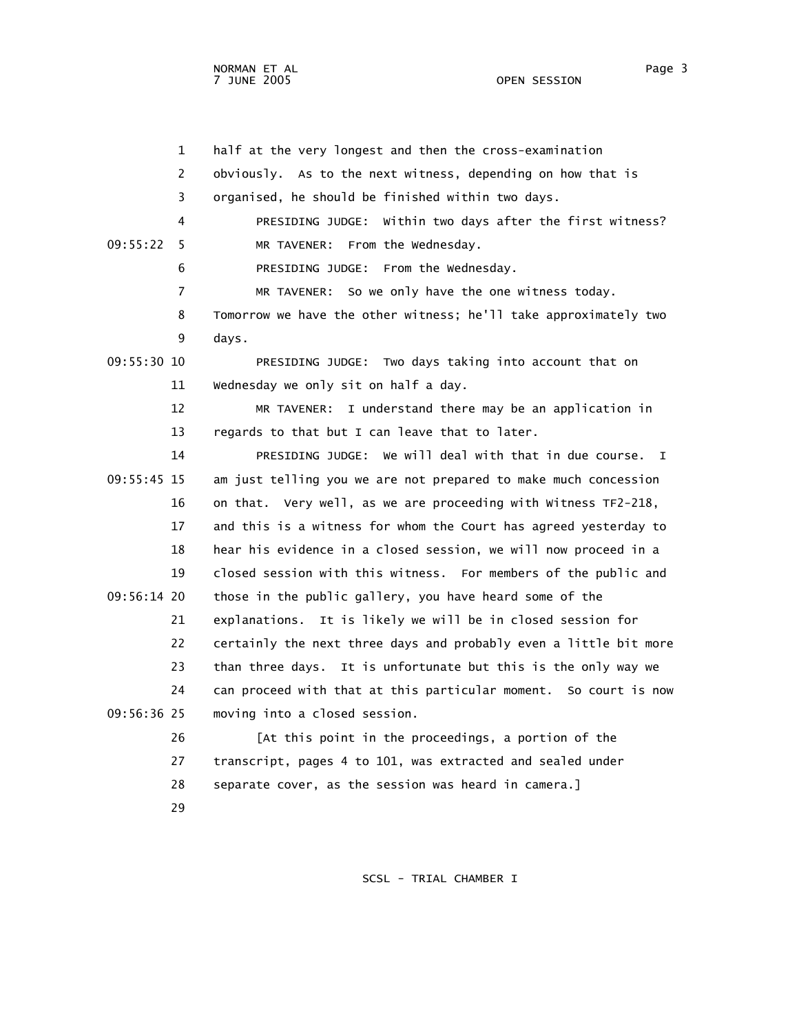NORMAN ET AL Page 3

OPEN SESSION

 1 half at the very longest and then the cross-examination 2 obviously. As to the next witness, depending on how that is 3 organised, he should be finished within two days. 4 PRESIDING JUDGE: Within two days after the first witness? 09:55:22 5 MR TAVENER: From the Wednesday. 6 PRESIDING JUDGE: From the Wednesday. 7 MR TAVENER: So we only have the one witness today. 8 Tomorrow we have the other witness; he'll take approximately two 9 days. 09:55:30 10 PRESIDING JUDGE: Two days taking into account that on 11 Wednesday we only sit on half a day. 12 MR TAVENER: I understand there may be an application in 13 regards to that but I can leave that to later. 14 PRESIDING JUDGE: We will deal with that in due course. I 09:55:45 15 am just telling you we are not prepared to make much concession 16 on that. Very well, as we are proceeding with Witness TF2-218, 17 and this is a witness for whom the Court has agreed yesterday to 18 hear his evidence in a closed session, we will now proceed in a 19 closed session with this witness. For members of the public and 09:56:14 20 those in the public gallery, you have heard some of the 21 explanations. It is likely we will be in closed session for 22 certainly the next three days and probably even a little bit more 23 than three days. It is unfortunate but this is the only way we 24 can proceed with that at this particular moment. So court is now 09:56:36 25 moving into a closed session. 26 [At this point in the proceedings, a portion of the 27 transcript, pages 4 to 101, was extracted and sealed under 28 separate cover, as the session was heard in camera.] 29

SCSL - TRIAL CHAMBER I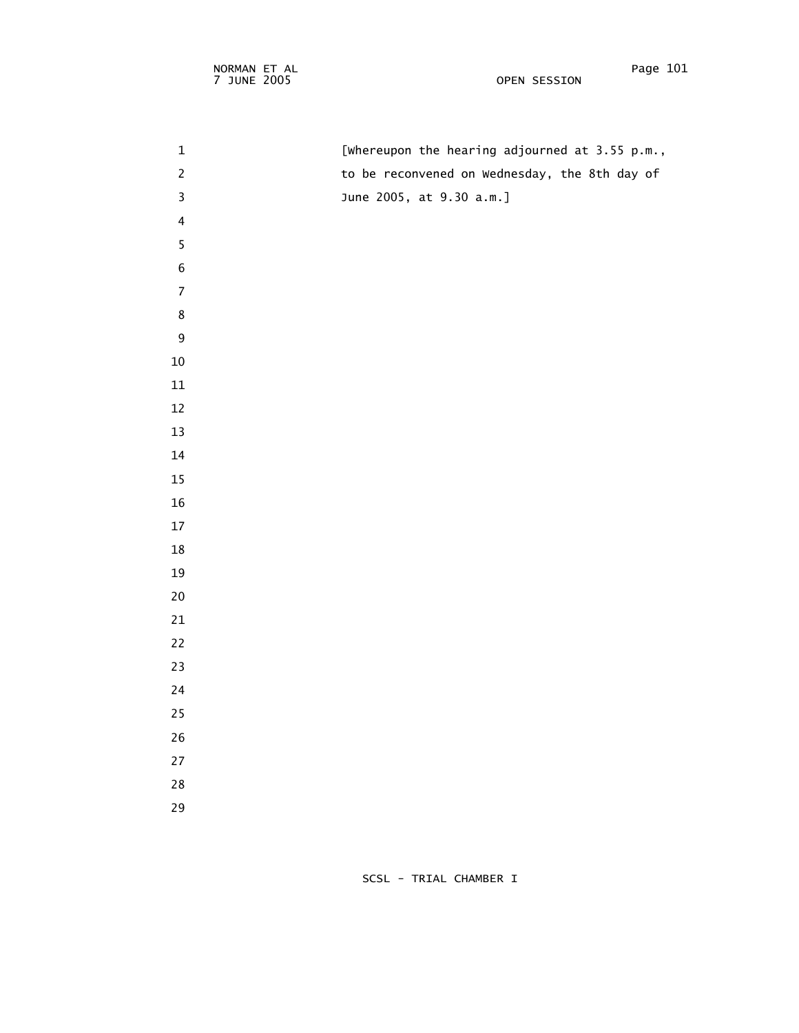1 [Whereupon the hearing adjourned at 3.55 p.m., 2 to be reconvened on Wednesday, the 8th day of 3 June 2005, at 9.30 a.m.] **5**